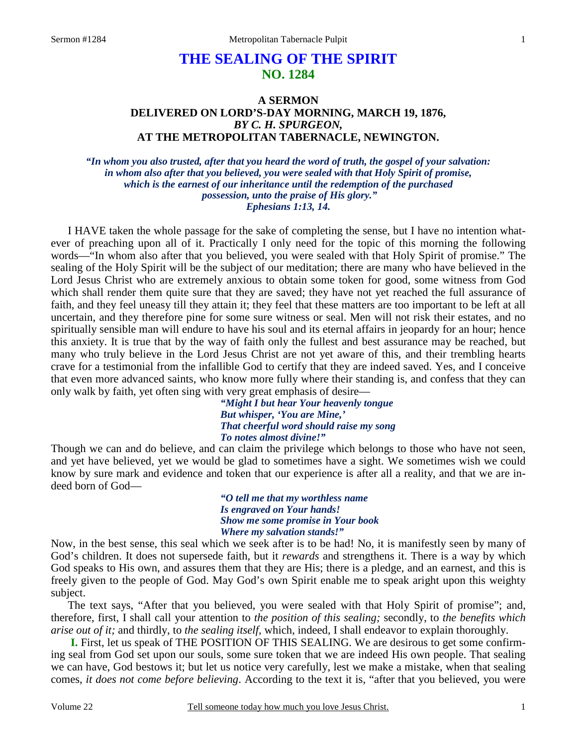# **THE SEALING OF THE SPIRIT NO. 1284**

## **A SERMON DELIVERED ON LORD'S-DAY MORNING, MARCH 19, 1876,**  *BY C. H. SPURGEON,*  **AT THE METROPOLITAN TABERNACLE, NEWINGTON.**

*"In whom you also trusted, after that you heard the word of truth, the gospel of your salvation: in whom also after that you believed, you were sealed with that Holy Spirit of promise, which is the earnest of our inheritance until the redemption of the purchased possession, unto the praise of His glory." Ephesians 1:13, 14.* 

I HAVE taken the whole passage for the sake of completing the sense, but I have no intention whatever of preaching upon all of it. Practically I only need for the topic of this morning the following words—"In whom also after that you believed, you were sealed with that Holy Spirit of promise." The sealing of the Holy Spirit will be the subject of our meditation; there are many who have believed in the Lord Jesus Christ who are extremely anxious to obtain some token for good, some witness from God which shall render them quite sure that they are saved; they have not yet reached the full assurance of faith, and they feel uneasy till they attain it; they feel that these matters are too important to be left at all uncertain, and they therefore pine for some sure witness or seal. Men will not risk their estates, and no spiritually sensible man will endure to have his soul and its eternal affairs in jeopardy for an hour; hence this anxiety. It is true that by the way of faith only the fullest and best assurance may be reached, but many who truly believe in the Lord Jesus Christ are not yet aware of this, and their trembling hearts crave for a testimonial from the infallible God to certify that they are indeed saved. Yes, and I conceive that even more advanced saints, who know more fully where their standing is, and confess that they can only walk by faith, yet often sing with very great emphasis of desire—

*"Might I but hear Your heavenly tongue But whisper, 'You are Mine,' That cheerful word should raise my song To notes almost divine!"* 

Though we can and do believe, and can claim the privilege which belongs to those who have not seen, and yet have believed, yet we would be glad to sometimes have a sight. We sometimes wish we could know by sure mark and evidence and token that our experience is after all a reality, and that we are indeed born of God—

> *"O tell me that my worthless name Is engraved on Your hands! Show me some promise in Your book Where my salvation stands!"*

Now, in the best sense, this seal which we seek after is to be had! No, it is manifestly seen by many of God's children. It does not supersede faith, but it *rewards* and strengthens it. There is a way by which God speaks to His own, and assures them that they are His; there is a pledge, and an earnest, and this is freely given to the people of God. May God's own Spirit enable me to speak aright upon this weighty subject.

 The text says, "After that you believed, you were sealed with that Holy Spirit of promise"; and, therefore, first, I shall call your attention to *the position of this sealing;* secondly, to *the benefits which arise out of it;* and thirdly, to *the sealing itself,* which, indeed, I shall endeavor to explain thoroughly.

**I.** First, let us speak of THE POSITION OF THIS SEALING. We are desirous to get some confirming seal from God set upon our souls, some sure token that we are indeed His own people. That sealing we can have, God bestows it; but let us notice very carefully, lest we make a mistake, when that sealing comes, *it does not come before believing*. According to the text it is, "after that you believed, you were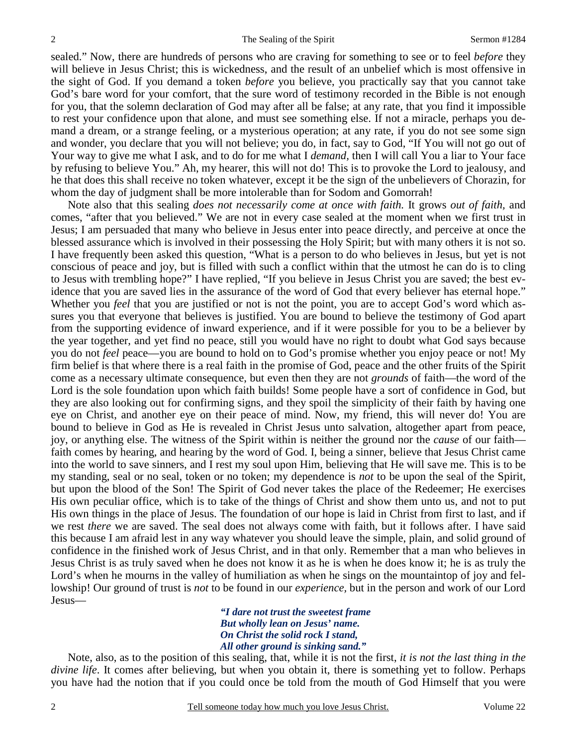sealed." Now, there are hundreds of persons who are craving for something to see or to feel *before* they will believe in Jesus Christ; this is wickedness, and the result of an unbelief which is most offensive in the sight of God. If you demand a token *before* you believe, you practically say that you cannot take God's bare word for your comfort, that the sure word of testimony recorded in the Bible is not enough for you, that the solemn declaration of God may after all be false; at any rate, that you find it impossible to rest your confidence upon that alone, and must see something else. If not a miracle, perhaps you demand a dream, or a strange feeling, or a mysterious operation; at any rate, if you do not see some sign and wonder, you declare that you will not believe; you do, in fact, say to God, "If You will not go out of Your way to give me what I ask, and to do for me what I *demand,* then I will call You a liar to Your face by refusing to believe You." Ah, my hearer, this will not do! This is to provoke the Lord to jealousy, and he that does this shall receive no token whatever, except it be the sign of the unbelievers of Chorazin, for whom the day of judgment shall be more intolerable than for Sodom and Gomorrah!

 Note also that this sealing *does not necessarily come at once with faith.* It grows *out of faith,* and comes, "after that you believed." We are not in every case sealed at the moment when we first trust in Jesus; I am persuaded that many who believe in Jesus enter into peace directly, and perceive at once the blessed assurance which is involved in their possessing the Holy Spirit; but with many others it is not so. I have frequently been asked this question, "What is a person to do who believes in Jesus, but yet is not conscious of peace and joy, but is filled with such a conflict within that the utmost he can do is to cling to Jesus with trembling hope?" I have replied, "If you believe in Jesus Christ you are saved; the best evidence that you are saved lies in the assurance of the word of God that every believer has eternal hope." Whether you *feel* that you are justified or not is not the point, you are to accept God's word which assures you that everyone that believes is justified. You are bound to believe the testimony of God apart from the supporting evidence of inward experience, and if it were possible for you to be a believer by the year together, and yet find no peace, still you would have no right to doubt what God says because you do not *feel* peace—you are bound to hold on to God's promise whether you enjoy peace or not! My firm belief is that where there is a real faith in the promise of God, peace and the other fruits of the Spirit come as a necessary ultimate consequence, but even then they are not *grounds* of faith—the word of the Lord is the sole foundation upon which faith builds! Some people have a sort of confidence in God, but they are also looking out for confirming signs, and they spoil the simplicity of their faith by having one eye on Christ, and another eye on their peace of mind. Now, my friend, this will never do! You are bound to believe in God as He is revealed in Christ Jesus unto salvation, altogether apart from peace, joy, or anything else. The witness of the Spirit within is neither the ground nor the *cause* of our faith faith comes by hearing, and hearing by the word of God. I, being a sinner, believe that Jesus Christ came into the world to save sinners, and I rest my soul upon Him, believing that He will save me. This is to be my standing, seal or no seal, token or no token; my dependence is *not* to be upon the seal of the Spirit, but upon the blood of the Son! The Spirit of God never takes the place of the Redeemer; He exercises His own peculiar office, which is to take of the things of Christ and show them unto us, and not to put His own things in the place of Jesus. The foundation of our hope is laid in Christ from first to last, and if we rest *there* we are saved. The seal does not always come with faith, but it follows after. I have said this because I am afraid lest in any way whatever you should leave the simple, plain, and solid ground of confidence in the finished work of Jesus Christ, and in that only. Remember that a man who believes in Jesus Christ is as truly saved when he does not know it as he is when he does know it; he is as truly the Lord's when he mourns in the valley of humiliation as when he sings on the mountaintop of joy and fellowship! Our ground of trust is *not* to be found in our *experience,* but in the person and work of our Lord Jesus—

> *"I dare not trust the sweetest frame But wholly lean on Jesus' name. On Christ the solid rock I stand, All other ground is sinking sand."*

 Note, also, as to the position of this sealing, that, while it is not the first, *it is not the last thing in the divine life*. It comes after believing, but when you obtain it, there is something yet to follow. Perhaps you have had the notion that if you could once be told from the mouth of God Himself that you were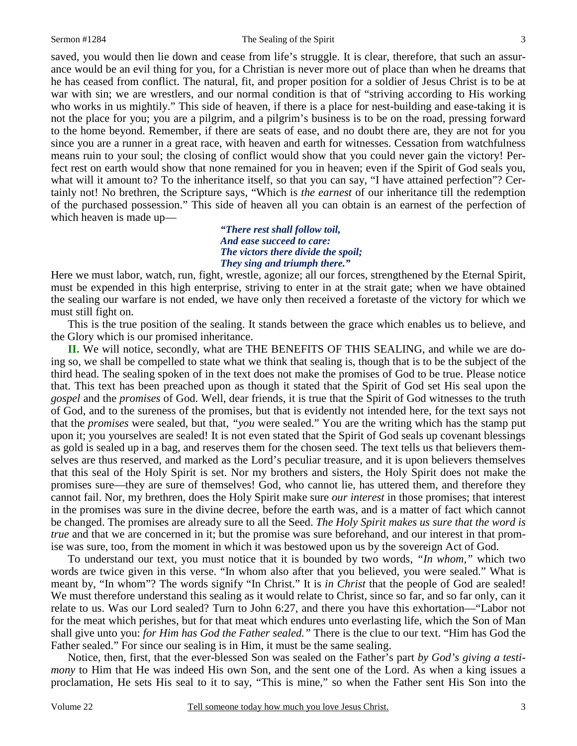3

saved, you would then lie down and cease from life's struggle. It is clear, therefore, that such an assurance would be an evil thing for you, for a Christian is never more out of place than when he dreams that he has ceased from conflict. The natural, fit, and proper position for a soldier of Jesus Christ is to be at war with sin; we are wrestlers, and our normal condition is that of "striving according to His working who works in us mightily." This side of heaven, if there is a place for nest-building and ease-taking it is not the place for you; you are a pilgrim, and a pilgrim's business is to be on the road, pressing forward to the home beyond. Remember, if there are seats of ease, and no doubt there are, they are not for you since you are a runner in a great race, with heaven and earth for witnesses. Cessation from watchfulness means ruin to your soul; the closing of conflict would show that you could never gain the victory! Perfect rest on earth would show that none remained for you in heaven; even if the Spirit of God seals you, what will it amount to? To the inheritance itself, so that you can say, "I have attained perfection"? Certainly not! No brethren, the Scripture says, "Which is *the earnest* of our inheritance till the redemption of the purchased possession." This side of heaven all you can obtain is an earnest of the perfection of which heaven is made up—

> *"There rest shall follow toil, And ease succeed to care: The victors there divide the spoil; They sing and triumph there."*

Here we must labor, watch, run, fight, wrestle, agonize; all our forces, strengthened by the Eternal Spirit, must be expended in this high enterprise, striving to enter in at the strait gate; when we have obtained the sealing our warfare is not ended, we have only then received a foretaste of the victory for which we must still fight on.

 This is the true position of the sealing. It stands between the grace which enables us to believe, and the Glory which is our promised inheritance.

**II.** We will notice, secondly, what are THE BENEFITS OF THIS SEALING, and while we are doing so, we shall be compelled to state what we think that sealing is, though that is to be the subject of the third head. The sealing spoken of in the text does not make the promises of God to be true. Please notice that. This text has been preached upon as though it stated that the Spirit of God set His seal upon the *gospel* and the *promises* of God. Well, dear friends, it is true that the Spirit of God witnesses to the truth of God, and to the sureness of the promises, but that is evidently not intended here, for the text says not that the *promises* were sealed, but that, *"you* were sealed." You are the writing which has the stamp put upon it; you yourselves are sealed! It is not even stated that the Spirit of God seals up covenant blessings as gold is sealed up in a bag, and reserves them for the chosen seed. The text tells us that believers themselves are thus reserved, and marked as the Lord's peculiar treasure, and it is upon believers themselves that this seal of the Holy Spirit is set. Nor my brothers and sisters, the Holy Spirit does not make the promises sure—they are sure of themselves! God, who cannot lie, has uttered them, and therefore they cannot fail. Nor, my brethren, does the Holy Spirit make sure *our interest* in those promises; that interest in the promises was sure in the divine decree, before the earth was, and is a matter of fact which cannot be changed. The promises are already sure to all the Seed. *The Holy Spirit makes us sure that the word is true* and that we are concerned in it; but the promise was sure beforehand, and our interest in that promise was sure, too, from the moment in which it was bestowed upon us by the sovereign Act of God.

 To understand our text, you must notice that it is bounded by two words, *"In whom,"* which two words are twice given in this verse. "In whom also after that you believed, you were sealed." What is meant by, "In whom"? The words signify "In Christ." It is *in Christ* that the people of God are sealed! We must therefore understand this sealing as it would relate to Christ, since so far, and so far only, can it relate to us. Was our Lord sealed? Turn to John 6:27, and there you have this exhortation—"Labor not for the meat which perishes, but for that meat which endures unto everlasting life, which the Son of Man shall give unto you: *for Him has God the Father sealed."* There is the clue to our text. "Him has God the Father sealed." For since our sealing is in Him, it must be the same sealing.

 Notice, then, first, that the ever-blessed Son was sealed on the Father's part *by God's giving a testimony* to Him that He was indeed His own Son, and the sent one of the Lord. As when a king issues a proclamation, He sets His seal to it to say, "This is mine," so when the Father sent His Son into the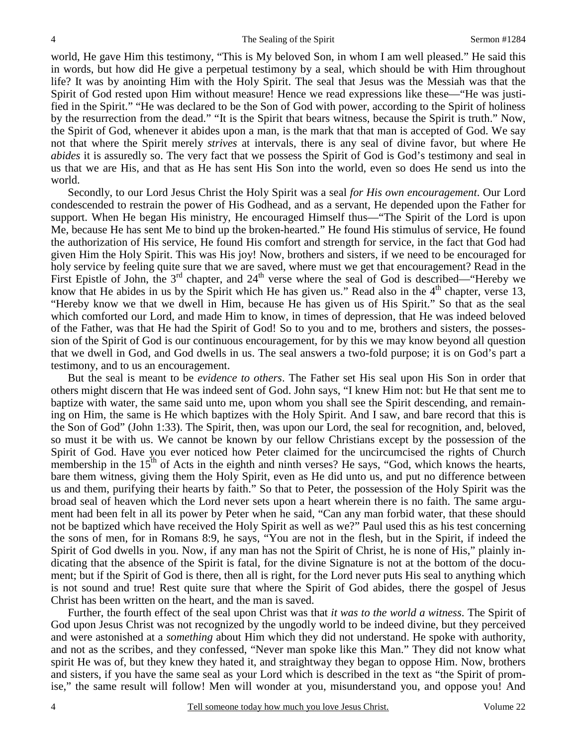world, He gave Him this testimony, "This is My beloved Son, in whom I am well pleased." He said this in words, but how did He give a perpetual testimony by a seal, which should be with Him throughout life? It was by anointing Him with the Holy Spirit. The seal that Jesus was the Messiah was that the Spirit of God rested upon Him without measure! Hence we read expressions like these—"He was justified in the Spirit." "He was declared to be the Son of God with power, according to the Spirit of holiness by the resurrection from the dead." "It is the Spirit that bears witness, because the Spirit is truth." Now, the Spirit of God, whenever it abides upon a man, is the mark that that man is accepted of God. We say not that where the Spirit merely *strives* at intervals, there is any seal of divine favor, but where He *abides* it is assuredly so. The very fact that we possess the Spirit of God is God's testimony and seal in us that we are His, and that as He has sent His Son into the world, even so does He send us into the world.

 Secondly, to our Lord Jesus Christ the Holy Spirit was a seal *for His own encouragement*. Our Lord condescended to restrain the power of His Godhead, and as a servant, He depended upon the Father for support. When He began His ministry, He encouraged Himself thus—"The Spirit of the Lord is upon Me, because He has sent Me to bind up the broken-hearted." He found His stimulus of service, He found the authorization of His service, He found His comfort and strength for service, in the fact that God had given Him the Holy Spirit. This was His joy! Now, brothers and sisters, if we need to be encouraged for holy service by feeling quite sure that we are saved, where must we get that encouragement? Read in the First Epistle of John, the  $3<sup>rd</sup>$  chapter, and  $24<sup>th</sup>$  verse where the seal of God is described—"Hereby we know that He abides in us by the Spirit which He has given us." Read also in the  $4<sup>th</sup>$  chapter, verse 13, "Hereby know we that we dwell in Him, because He has given us of His Spirit." So that as the seal which comforted our Lord, and made Him to know, in times of depression, that He was indeed beloved of the Father, was that He had the Spirit of God! So to you and to me, brothers and sisters, the possession of the Spirit of God is our continuous encouragement, for by this we may know beyond all question that we dwell in God, and God dwells in us. The seal answers a two-fold purpose; it is on God's part a testimony, and to us an encouragement.

 But the seal is meant to be *evidence to others*. The Father set His seal upon His Son in order that others might discern that He was indeed sent of God. John says, "I knew Him not: but He that sent me to baptize with water, the same said unto me, upon whom you shall see the Spirit descending, and remaining on Him, the same is He which baptizes with the Holy Spirit. And I saw, and bare record that this is the Son of God" (John 1:33). The Spirit, then, was upon our Lord, the seal for recognition, and, beloved, so must it be with us. We cannot be known by our fellow Christians except by the possession of the Spirit of God. Have you ever noticed how Peter claimed for the uncircumcised the rights of Church membership in the  $15<sup>th</sup>$  of Acts in the eighth and ninth verses? He says, "God, which knows the hearts, bare them witness, giving them the Holy Spirit, even as He did unto us, and put no difference between us and them, purifying their hearts by faith." So that to Peter, the possession of the Holy Spirit was the broad seal of heaven which the Lord never sets upon a heart wherein there is no faith. The same argument had been felt in all its power by Peter when he said, "Can any man forbid water, that these should not be baptized which have received the Holy Spirit as well as we?" Paul used this as his test concerning the sons of men, for in Romans 8:9, he says, "You are not in the flesh, but in the Spirit, if indeed the Spirit of God dwells in you. Now, if any man has not the Spirit of Christ, he is none of His," plainly indicating that the absence of the Spirit is fatal, for the divine Signature is not at the bottom of the document; but if the Spirit of God is there, then all is right, for the Lord never puts His seal to anything which is not sound and true! Rest quite sure that where the Spirit of God abides, there the gospel of Jesus Christ has been written on the heart, and the man is saved.

 Further, the fourth effect of the seal upon Christ was that *it was to the world a witness*. The Spirit of God upon Jesus Christ was not recognized by the ungodly world to be indeed divine, but they perceived and were astonished at a *something* about Him which they did not understand. He spoke with authority, and not as the scribes, and they confessed, "Never man spoke like this Man." They did not know what spirit He was of, but they knew they hated it, and straightway they began to oppose Him. Now, brothers and sisters, if you have the same seal as your Lord which is described in the text as "the Spirit of promise," the same result will follow! Men will wonder at you, misunderstand you, and oppose you! And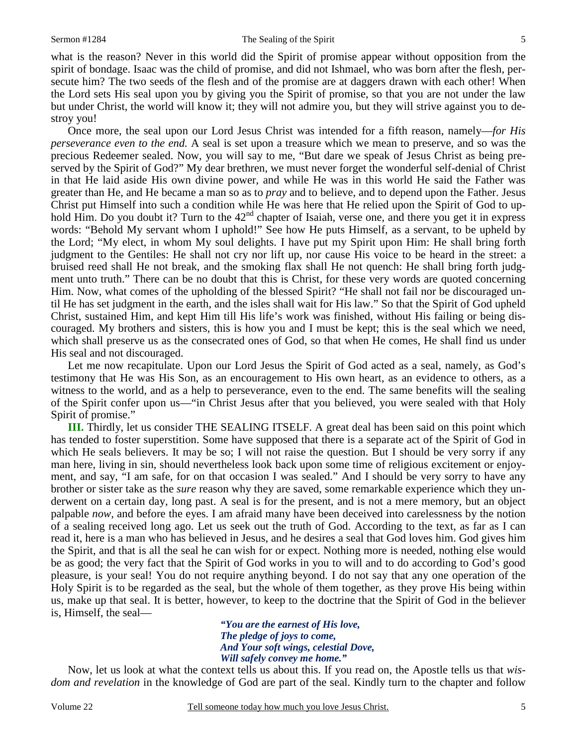what is the reason? Never in this world did the Spirit of promise appear without opposition from the spirit of bondage. Isaac was the child of promise, and did not Ishmael, who was born after the flesh, persecute him? The two seeds of the flesh and of the promise are at daggers drawn with each other! When the Lord sets His seal upon you by giving you the Spirit of promise, so that you are not under the law but under Christ, the world will know it; they will not admire you, but they will strive against you to destroy you!

 Once more, the seal upon our Lord Jesus Christ was intended for a fifth reason, namely—*for His perseverance even to the end.* A seal is set upon a treasure which we mean to preserve, and so was the precious Redeemer sealed. Now, you will say to me, "But dare we speak of Jesus Christ as being preserved by the Spirit of God?" My dear brethren, we must never forget the wonderful self-denial of Christ in that He laid aside His own divine power, and while He was in this world He said the Father was greater than He, and He became a man so as to *pray* and to believe, and to depend upon the Father. Jesus Christ put Himself into such a condition while He was here that He relied upon the Spirit of God to uphold Him. Do you doubt it? Turn to the  $42<sup>nd</sup>$  chapter of Isaiah, verse one, and there you get it in express words: "Behold My servant whom I uphold!" See how He puts Himself, as a servant, to be upheld by the Lord; "My elect, in whom My soul delights. I have put my Spirit upon Him: He shall bring forth judgment to the Gentiles: He shall not cry nor lift up, nor cause His voice to be heard in the street: a bruised reed shall He not break, and the smoking flax shall He not quench: He shall bring forth judgment unto truth." There can be no doubt that this is Christ, for these very words are quoted concerning Him. Now, what comes of the upholding of the blessed Spirit? "He shall not fail nor be discouraged until He has set judgment in the earth, and the isles shall wait for His law." So that the Spirit of God upheld Christ, sustained Him, and kept Him till His life's work was finished, without His failing or being discouraged. My brothers and sisters, this is how you and I must be kept; this is the seal which we need, which shall preserve us as the consecrated ones of God, so that when He comes, He shall find us under His seal and not discouraged.

 Let me now recapitulate. Upon our Lord Jesus the Spirit of God acted as a seal, namely, as God's testimony that He was His Son, as an encouragement to His own heart, as an evidence to others, as a witness to the world, and as a help to perseverance, even to the end. The same benefits will the sealing of the Spirit confer upon us—"in Christ Jesus after that you believed, you were sealed with that Holy Spirit of promise."

**III.** Thirdly, let us consider THE SEALING ITSELF. A great deal has been said on this point which has tended to foster superstition. Some have supposed that there is a separate act of the Spirit of God in which He seals believers. It may be so; I will not raise the question. But I should be very sorry if any man here, living in sin, should nevertheless look back upon some time of religious excitement or enjoyment, and say, "I am safe, for on that occasion I was sealed." And I should be very sorry to have any brother or sister take as the *sure* reason why they are saved, some remarkable experience which they underwent on a certain day, long past. A seal is for the present, and is not a mere memory, but an object palpable *now,* and before the eyes. I am afraid many have been deceived into carelessness by the notion of a sealing received long ago. Let us seek out the truth of God. According to the text, as far as I can read it, here is a man who has believed in Jesus, and he desires a seal that God loves him. God gives him the Spirit, and that is all the seal he can wish for or expect. Nothing more is needed, nothing else would be as good; the very fact that the Spirit of God works in you to will and to do according to God's good pleasure, is your seal! You do not require anything beyond. I do not say that any one operation of the Holy Spirit is to be regarded as the seal, but the whole of them together, as they prove His being within us, make up that seal. It is better, however, to keep to the doctrine that the Spirit of God in the believer is, Himself, the seal—

> *"You are the earnest of His love, The pledge of joys to come, And Your soft wings, celestial Dove, Will safely convey me home."*

Now, let us look at what the context tells us about this. If you read on, the Apostle tells us that *wisdom and revelation* in the knowledge of God are part of the seal. Kindly turn to the chapter and follow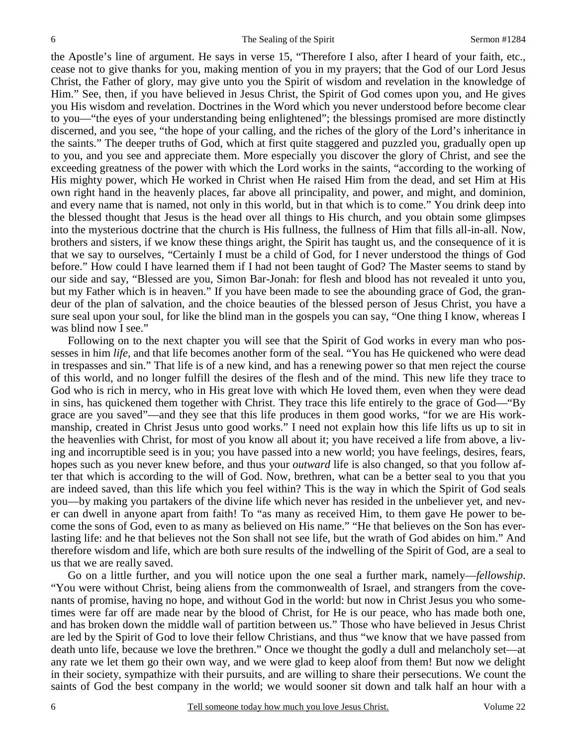the Apostle's line of argument. He says in verse 15, "Therefore I also, after I heard of your faith, etc., cease not to give thanks for you, making mention of you in my prayers; that the God of our Lord Jesus Christ, the Father of glory, may give unto you the Spirit of wisdom and revelation in the knowledge of Him." See, then, if you have believed in Jesus Christ, the Spirit of God comes upon you, and He gives you His wisdom and revelation. Doctrines in the Word which you never understood before become clear to you—"the eyes of your understanding being enlightened"; the blessings promised are more distinctly discerned, and you see, "the hope of your calling, and the riches of the glory of the Lord's inheritance in the saints." The deeper truths of God, which at first quite staggered and puzzled you, gradually open up to you, and you see and appreciate them. More especially you discover the glory of Christ, and see the exceeding greatness of the power with which the Lord works in the saints, "according to the working of His mighty power, which He worked in Christ when He raised Him from the dead, and set Him at His own right hand in the heavenly places, far above all principality, and power, and might, and dominion, and every name that is named, not only in this world, but in that which is to come." You drink deep into the blessed thought that Jesus is the head over all things to His church, and you obtain some glimpses into the mysterious doctrine that the church is His fullness, the fullness of Him that fills all-in-all. Now, brothers and sisters, if we know these things aright, the Spirit has taught us, and the consequence of it is that we say to ourselves, "Certainly I must be a child of God, for I never understood the things of God before." How could I have learned them if I had not been taught of God? The Master seems to stand by our side and say, "Blessed are you, Simon Bar-Jonah: for flesh and blood has not revealed it unto you, but my Father which is in heaven." If you have been made to see the abounding grace of God, the grandeur of the plan of salvation, and the choice beauties of the blessed person of Jesus Christ, you have a sure seal upon your soul, for like the blind man in the gospels you can say, "One thing I know, whereas I was blind now I see."

 Following on to the next chapter you will see that the Spirit of God works in every man who possesses in him *life,* and that life becomes another form of the seal. "You has He quickened who were dead in trespasses and sin." That life is of a new kind, and has a renewing power so that men reject the course of this world, and no longer fulfill the desires of the flesh and of the mind. This new life they trace to God who is rich in mercy, who in His great love with which He loved them, even when they were dead in sins, has quickened them together with Christ. They trace this life entirely to the grace of God—"By grace are you saved"—and they see that this life produces in them good works, "for we are His workmanship, created in Christ Jesus unto good works." I need not explain how this life lifts us up to sit in the heavenlies with Christ, for most of you know all about it; you have received a life from above, a living and incorruptible seed is in you; you have passed into a new world; you have feelings, desires, fears, hopes such as you never knew before, and thus your *outward* life is also changed, so that you follow after that which is according to the will of God. Now, brethren, what can be a better seal to you that you are indeed saved, than this life which you feel within? This is the way in which the Spirit of God seals you—by making you partakers of the divine life which never has resided in the unbeliever yet, and never can dwell in anyone apart from faith! To "as many as received Him, to them gave He power to become the sons of God, even to as many as believed on His name." "He that believes on the Son has everlasting life: and he that believes not the Son shall not see life, but the wrath of God abides on him." And therefore wisdom and life, which are both sure results of the indwelling of the Spirit of God, are a seal to us that we are really saved.

 Go on a little further, and you will notice upon the one seal a further mark, namely—*fellowship*. "You were without Christ, being aliens from the commonwealth of Israel, and strangers from the covenants of promise, having no hope, and without God in the world: but now in Christ Jesus you who sometimes were far off are made near by the blood of Christ, for He is our peace, who has made both one, and has broken down the middle wall of partition between us." Those who have believed in Jesus Christ are led by the Spirit of God to love their fellow Christians, and thus "we know that we have passed from death unto life, because we love the brethren." Once we thought the godly a dull and melancholy set—at any rate we let them go their own way, and we were glad to keep aloof from them! But now we delight in their society, sympathize with their pursuits, and are willing to share their persecutions. We count the saints of God the best company in the world; we would sooner sit down and talk half an hour with a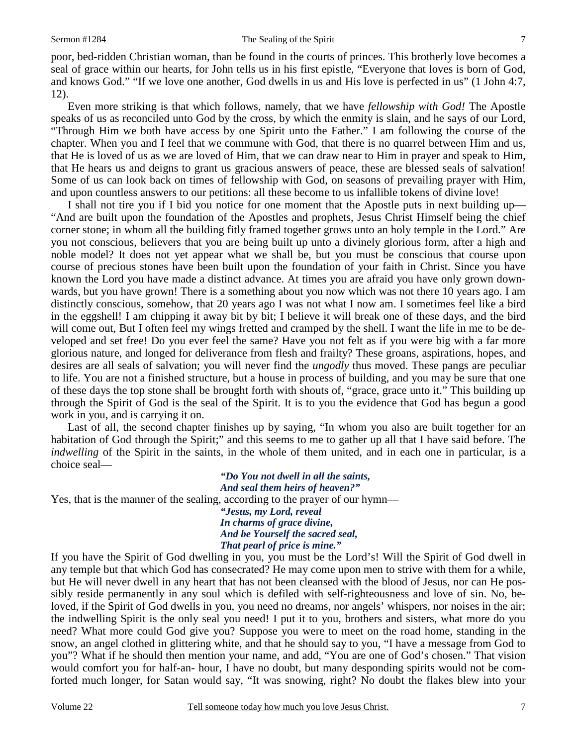poor, bed-ridden Christian woman, than be found in the courts of princes. This brotherly love becomes a seal of grace within our hearts, for John tells us in his first epistle, "Everyone that loves is born of God, and knows God." "If we love one another, God dwells in us and His love is perfected in us" (1 John 4:7, 12).

 Even more striking is that which follows, namely, that we have *fellowship with God!* The Apostle speaks of us as reconciled unto God by the cross, by which the enmity is slain, and he says of our Lord, "Through Him we both have access by one Spirit unto the Father." I am following the course of the chapter. When you and I feel that we commune with God, that there is no quarrel between Him and us, that He is loved of us as we are loved of Him, that we can draw near to Him in prayer and speak to Him, that He hears us and deigns to grant us gracious answers of peace, these are blessed seals of salvation! Some of us can look back on times of fellowship with God, on seasons of prevailing prayer with Him, and upon countless answers to our petitions: all these become to us infallible tokens of divine love!

 I shall not tire you if I bid you notice for one moment that the Apostle puts in next building up— "And are built upon the foundation of the Apostles and prophets, Jesus Christ Himself being the chief corner stone; in whom all the building fitly framed together grows unto an holy temple in the Lord." Are you not conscious, believers that you are being built up unto a divinely glorious form, after a high and noble model? It does not yet appear what we shall be, but you must be conscious that course upon course of precious stones have been built upon the foundation of your faith in Christ. Since you have known the Lord you have made a distinct advance. At times you are afraid you have only grown downwards, but you have grown! There is a something about you now which was not there 10 years ago. I am distinctly conscious, somehow, that 20 years ago I was not what I now am. I sometimes feel like a bird in the eggshell! I am chipping it away bit by bit; I believe it will break one of these days, and the bird will come out, But I often feel my wings fretted and cramped by the shell. I want the life in me to be developed and set free! Do you ever feel the same? Have you not felt as if you were big with a far more glorious nature, and longed for deliverance from flesh and frailty? These groans, aspirations, hopes, and desires are all seals of salvation; you will never find the *ungodly* thus moved. These pangs are peculiar to life. You are not a finished structure, but a house in process of building, and you may be sure that one of these days the top stone shall be brought forth with shouts of, "grace, grace unto it." This building up through the Spirit of God is the seal of the Spirit. It is to you the evidence that God has begun a good work in you, and is carrying it on.

 Last of all, the second chapter finishes up by saying, "In whom you also are built together for an habitation of God through the Spirit;" and this seems to me to gather up all that I have said before. The *indwelling* of the Spirit in the saints, in the whole of them united, and in each one in particular, is a choice seal—

*"Do You not dwell in all the saints, And seal them heirs of heaven?"*  Yes, that is the manner of the sealing, according to the prayer of our hymn—

*"Jesus, my Lord, reveal In charms of grace divine, And be Yourself the sacred seal, That pearl of price is mine."* 

If you have the Spirit of God dwelling in you, you must be the Lord's! Will the Spirit of God dwell in any temple but that which God has consecrated? He may come upon men to strive with them for a while, but He will never dwell in any heart that has not been cleansed with the blood of Jesus, nor can He possibly reside permanently in any soul which is defiled with self-righteousness and love of sin. No, beloved, if the Spirit of God dwells in you, you need no dreams, nor angels' whispers, nor noises in the air; the indwelling Spirit is the only seal you need! I put it to you, brothers and sisters, what more do you need? What more could God give you? Suppose you were to meet on the road home, standing in the snow, an angel clothed in glittering white, and that he should say to you, "I have a message from God to you"? What if he should then mention your name, and add, "You are one of God's chosen." That vision would comfort you for half-an- hour, I have no doubt, but many desponding spirits would not be comforted much longer, for Satan would say, "It was snowing, right? No doubt the flakes blew into your